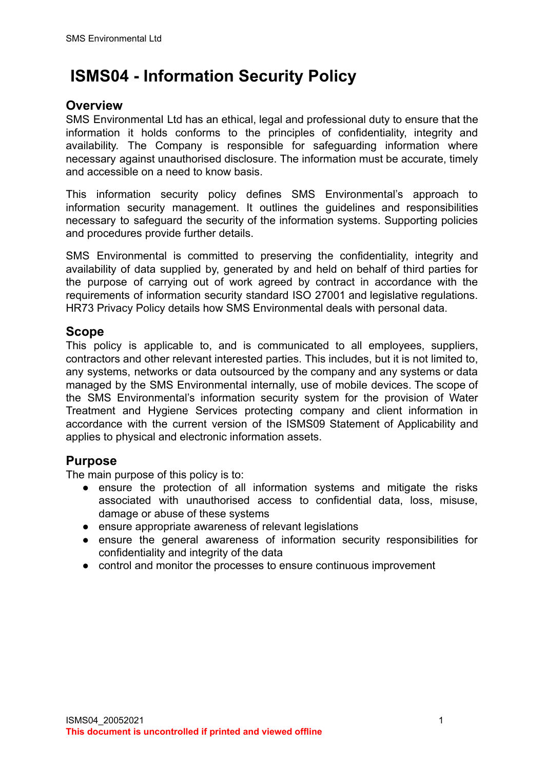# **ISMS04 - Information Security Policy**

### **Overview**

SMS Environmental Ltd has an ethical, legal and professional duty to ensure that the information it holds conforms to the principles of confidentiality, integrity and availability. The Company is responsible for safeguarding information where necessary against unauthorised disclosure. The information must be accurate, timely and accessible on a need to know basis.

This information security policy defines SMS Environmental's approach to information security management. It outlines the guidelines and responsibilities necessary to safeguard the security of the information systems. Supporting policies and procedures provide further details.

SMS Environmental is committed to preserving the confidentiality, integrity and availability of data supplied by, generated by and held on behalf of third parties for the purpose of carrying out of work agreed by contract in accordance with the requirements of information security standard ISO 27001 and legislative regulations. HR73 Privacy Policy details how SMS Environmental deals with personal data.

#### **Scope**

This policy is applicable to, and is communicated to all employees, suppliers, contractors and other relevant interested parties. This includes, but it is not limited to, any systems, networks or data outsourced by the company and any systems or data managed by the SMS Environmental internally, use of mobile devices. The scope of the SMS Environmental's information security system for the provision of Water Treatment and Hygiene Services protecting company and client information in accordance with the current version of the ISMS09 Statement of Applicability and applies to physical and electronic information assets.

### **Purpose**

The main purpose of this policy is to:

- ensure the protection of all information systems and mitigate the risks associated with unauthorised access to confidential data, loss, misuse, damage or abuse of these systems
- ensure appropriate awareness of relevant legislations
- ensure the general awareness of information security responsibilities for confidentiality and integrity of the data
- control and monitor the processes to ensure continuous improvement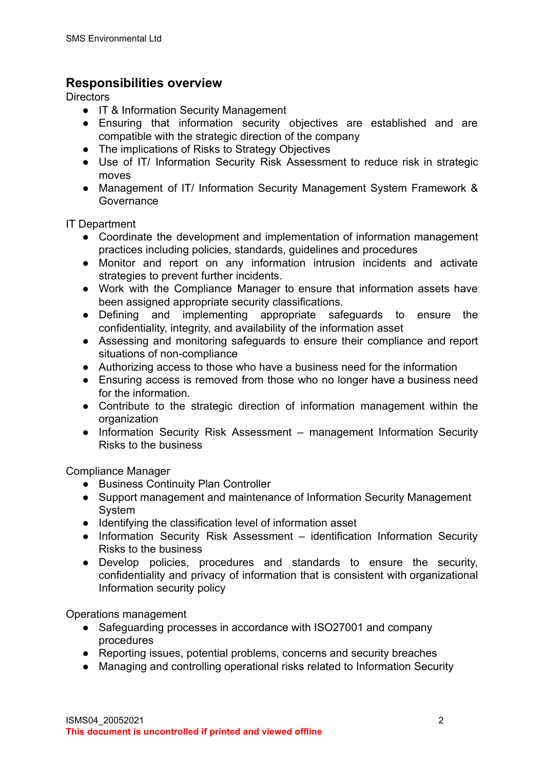# **Responsibilities overview**

**Directors** 

- IT & Information Security Management
- Ensuring that information security objectives are established and are compatible with the strategic direction of the company
- The implications of Risks to Strategy Objectives
- Use of IT/ Information Security Risk Assessment to reduce risk in strategic moves
- Management of IT/ Information Security Management System Framework & **Governance**

IT Department

- Coordinate the development and implementation of information management practices including policies, standards, guidelines and procedures
- Monitor and report on any information intrusion incidents and activate strategies to prevent further incidents.
- Work with the Compliance Manager to ensure that information assets have been assigned appropriate security classifications.
- Defining and implementing appropriate safeguards to ensure the confidentiality, integrity, and availability of the information asset
- Assessing and monitoring safeguards to ensure their compliance and report situations of non-compliance
- Authorizing access to those who have a business need for the information
- Ensuring access is removed from those who no longer have a business need for the information.
- Contribute to the strategic direction of information management within the organization
- Information Security Risk Assessment management Information Security Risks to the business

Compliance Manager

- Business Continuity Plan Controller
- Support management and maintenance of Information Security Management System
- Identifying the classification level of information asset
- Information Security Risk Assessment identification Information Security Risks to the business
- Develop policies, procedures and standards to ensure the security, confidentiality and privacy of information that is consistent with organizational Information security policy

Operations management

- Safeguarding processes in accordance with ISO27001 and company procedures
- Reporting issues, potential problems, concerns and security breaches
- Managing and controlling operational risks related to Information Security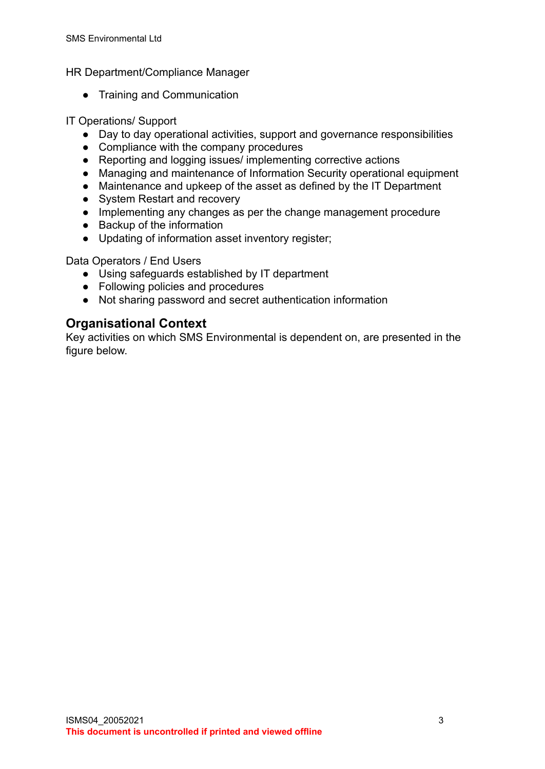HR Department/Compliance Manager

● Training and Communication

#### IT Operations/ Support

- Day to day operational activities, support and governance responsibilities
- Compliance with the company procedures
- Reporting and logging issues/ implementing corrective actions
- Managing and maintenance of Information Security operational equipment
- Maintenance and upkeep of the asset as defined by the IT Department
- System Restart and recovery
- Implementing any changes as per the change management procedure
- Backup of the information
- Updating of information asset inventory register;

Data Operators / End Users

- Using safeguards established by IT department
- Following policies and procedures
- Not sharing password and secret authentication information

### **Organisational Context**

Key activities on which SMS Environmental is dependent on, are presented in the figure below.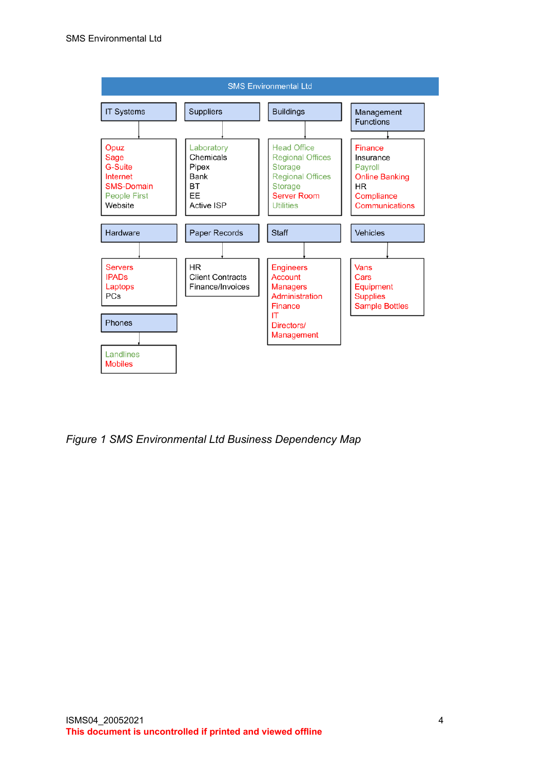

*Figure 1 SMS Environmental Ltd Business Dependency Map*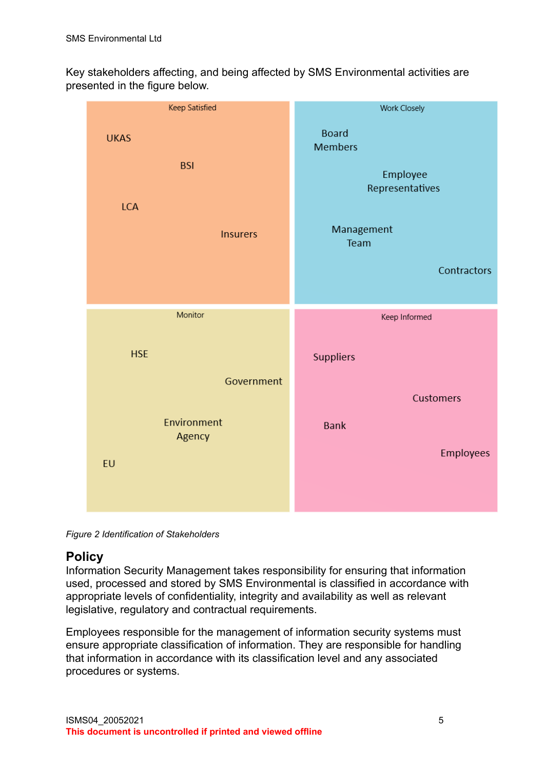Key stakeholders affecting, and being affected by SMS Environmental activities are presented in the figure below.

| Keep Satisfied            | <b>Work Closely</b>                        |  |
|---------------------------|--------------------------------------------|--|
| <b>UKAS</b><br><b>BSI</b> | <b>Board</b><br><b>Members</b><br>Employee |  |
| <b>LCA</b>                | Representatives                            |  |
| <b>Insurers</b>           | Management<br>Team                         |  |
|                           | Contractors                                |  |
| Monitor                   | Keep Informed                              |  |
| <b>HSE</b><br>Government  | <b>Suppliers</b>                           |  |
|                           | <b>Customers</b>                           |  |
| Environment<br>Agency     | <b>Bank</b>                                |  |
| EU                        | Employees                                  |  |
|                           |                                            |  |

*Figure 2 Identification of Stakeholders*

# **Policy**

Information Security Management takes responsibility for ensuring that information used, processed and stored by SMS Environmental is classified in accordance with appropriate levels of confidentiality, integrity and availability as well as relevant legislative, regulatory and contractual requirements.

Employees responsible for the management of information security systems must ensure appropriate classification of information. They are responsible for handling that information in accordance with its classification level and any associated procedures or systems.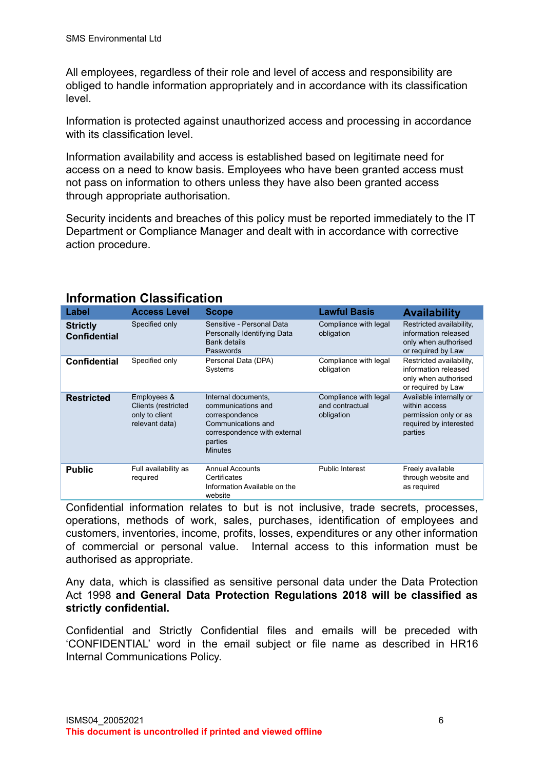All employees, regardless of their role and level of access and responsibility are obliged to handle information appropriately and in accordance with its classification level.

Information is protected against unauthorized access and processing in accordance with its classification level.

Information availability and access is established based on legitimate need for access on a need to know basis. Employees who have been granted access must not pass on information to others unless they have also been granted access through appropriate authorisation.

Security incidents and breaches of this policy must be reported immediately to the IT Department or Compliance Manager and dealt with in accordance with corrective action procedure.

| Label                                  | <b>Access Level</b>                                                    | <b>Scope</b>                                                                                                                                   | <b>Lawful Basis</b>                                    | <b>Availability</b>                                                                                    |
|----------------------------------------|------------------------------------------------------------------------|------------------------------------------------------------------------------------------------------------------------------------------------|--------------------------------------------------------|--------------------------------------------------------------------------------------------------------|
| <b>Strictly</b><br><b>Confidential</b> | Specified only                                                         | Sensitive - Personal Data<br>Personally Identifying Data<br><b>Bank details</b><br>Passwords                                                   | Compliance with legal<br>obligation                    | Restricted availability,<br>information released<br>only when authorised<br>or required by Law         |
| <b>Confidential</b>                    | Specified only                                                         | Compliance with legal<br>Personal Data (DPA)<br>obligation<br>Systems                                                                          |                                                        | Restricted availability,<br>information released<br>only when authorised<br>or required by Law         |
| <b>Restricted</b>                      | Employees &<br>Clients (restricted<br>only to client<br>relevant data) | Internal documents,<br>communications and<br>correspondence<br>Communications and<br>correspondence with external<br>parties<br><b>Minutes</b> | Compliance with legal<br>and contractual<br>obligation | Available internally or<br>within access<br>permission only or as<br>required by interested<br>parties |
| <b>Public</b>                          | Full availability as<br>required                                       | <b>Annual Accounts</b><br>Certificates<br>Information Available on the<br>website                                                              | Public Interest                                        | Freely available<br>through website and<br>as required                                                 |

# **Information Classification**

Confidential information relates to but is not inclusive, trade secrets, processes, operations, methods of work, sales, purchases, identification of employees and customers, inventories, income, profits, losses, expenditures or any other information of commercial or personal value. Internal access to this information must be authorised as appropriate.

Any data, which is classified as sensitive personal data under the Data Protection Act 1998 **and General Data Protection Regulations 2018 will be classified as strictly confidential.**

Confidential and Strictly Confidential files and emails will be preceded with 'CONFIDENTIAL' word in the email subject or file name as described in HR16 Internal Communications Policy.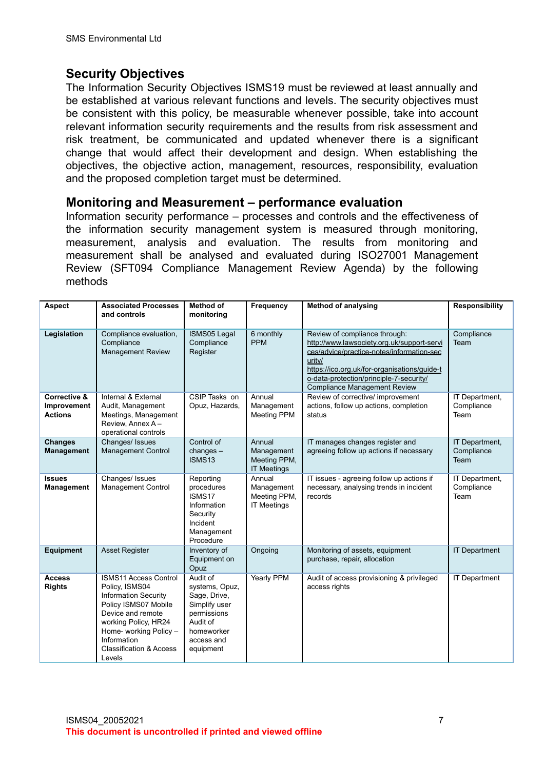### **Security Objectives**

The Information Security Objectives ISMS19 must be reviewed at least annually and be established at various relevant functions and levels. The security objectives must be consistent with this policy, be measurable whenever possible, take into account relevant information security requirements and the results from risk assessment and risk treatment, be communicated and updated whenever there is a significant change that would affect their development and design. When establishing the objectives, the objective action, management, resources, responsibility, evaluation and the proposed completion target must be determined.

#### **Monitoring and Measurement – performance evaluation**

Information security performance – processes and controls and the effectiveness of the information security management system is measured through monitoring, measurement, analysis and evaluation. The results from monitoring and measurement shall be analysed and evaluated during ISO27001 Management Review (SFT094 Compliance Management Review Agenda) by the following methods

| Aspect                                                   | <b>Associated Processes</b><br>and controls                                                                                                                                                                                                 | <b>Method of</b><br>monitoring                                                                                                  | Frequency                                                  | <b>Method of analysing</b>                                                                                                                                                                                                                                           | <b>Responsibility</b>                |
|----------------------------------------------------------|---------------------------------------------------------------------------------------------------------------------------------------------------------------------------------------------------------------------------------------------|---------------------------------------------------------------------------------------------------------------------------------|------------------------------------------------------------|----------------------------------------------------------------------------------------------------------------------------------------------------------------------------------------------------------------------------------------------------------------------|--------------------------------------|
| Legislation                                              | Compliance evaluation,<br>Compliance<br><b>Management Review</b>                                                                                                                                                                            | ISMS05 Legal<br>Compliance<br>Register                                                                                          | 6 monthly<br><b>PPM</b>                                    | Review of compliance through:<br>http://www.lawsociety.org.uk/support-servi<br>ces/advice/practice-notes/information-sec<br>urity/<br>https://ico.org.uk/for-organisations/guide-t<br>o-data-protection/principle-7-security/<br><b>Compliance Management Review</b> | Compliance<br>Team                   |
| <b>Corrective &amp;</b><br>Improvement<br><b>Actions</b> | Internal & External<br>Audit, Management<br>Meetings, Management<br>Review, Annex A-<br>operational controls                                                                                                                                | CSIP Tasks on<br>Opuz, Hazards,                                                                                                 | Annual<br>Management<br><b>Meeting PPM</b>                 | Review of corrective/ improvement<br>actions, follow up actions, completion<br>status                                                                                                                                                                                | IT Department,<br>Compliance<br>Team |
| <b>Changes</b><br><b>Management</b>                      | Changes/ Issues<br><b>Management Control</b>                                                                                                                                                                                                | Control of<br>changes $-$<br><b>ISMS13</b>                                                                                      | Annual<br>Management<br>Meeting PPM,<br><b>IT Meetings</b> | IT manages changes register and<br>agreeing follow up actions if necessary                                                                                                                                                                                           | IT Department.<br>Compliance<br>Team |
| <b>Issues</b><br>Management                              | Changes/ Issues<br>Management Control                                                                                                                                                                                                       | Reporting<br>procedures<br>ISMS17<br>Information<br>Security<br>Incident<br>Management<br>Procedure                             | Annual<br>Management<br>Meeting PPM,<br><b>IT Meetings</b> | IT issues - agreeing follow up actions if<br>necessary, analysing trends in incident<br>records                                                                                                                                                                      | IT Department,<br>Compliance<br>Team |
| <b>Equipment</b>                                         | <b>Asset Register</b>                                                                                                                                                                                                                       | Inventory of<br>Equipment on<br>Opuz                                                                                            | Ongoing                                                    | Monitoring of assets, equipment<br>purchase, repair, allocation                                                                                                                                                                                                      | <b>IT Department</b>                 |
| <b>Access</b><br><b>Rights</b>                           | <b>ISMS11 Access Control</b><br>Policy, ISMS04<br><b>Information Security</b><br>Policy ISMS07 Mobile<br>Device and remote<br>working Policy, HR24<br>Home- working Policy -<br>Information<br><b>Classification &amp; Access</b><br>Levels | Audit of<br>systems, Opuz,<br>Sage, Drive,<br>Simplify user<br>permissions<br>Audit of<br>homeworker<br>access and<br>equipment | <b>Yearly PPM</b>                                          | Audit of access provisioning & privileged<br>access rights                                                                                                                                                                                                           | IT Department                        |